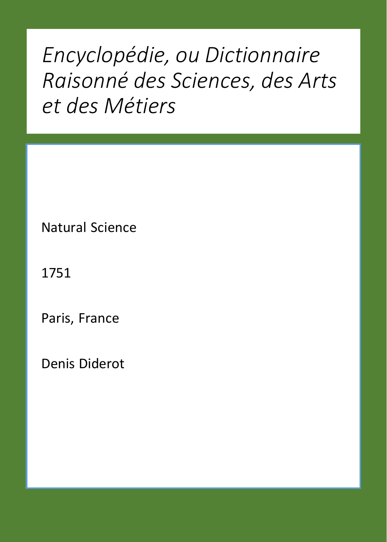*Encyclopédie, ou Dictionnaire Raisonné des Sciences, des Arts et des Métiers*

Natural Science

1751

Paris, France

Denis Diderot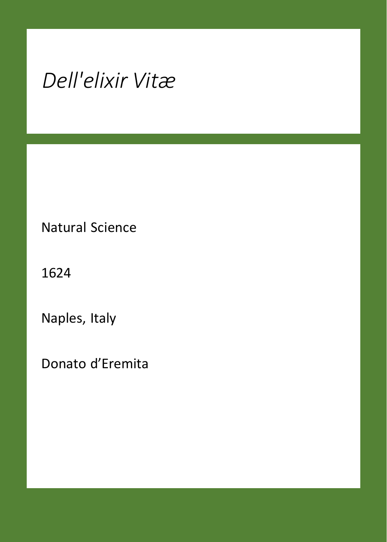## *Dell'elixir Vitæ*

Natural Science

1624

Naples, Italy

Donato d'Eremita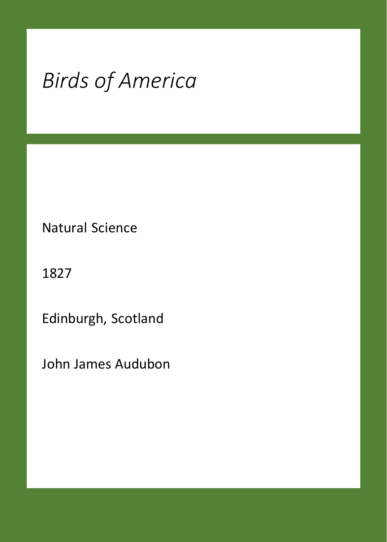## *Birds of America*

Natural Science

1827

Edinburgh, Scotland

John James Audubon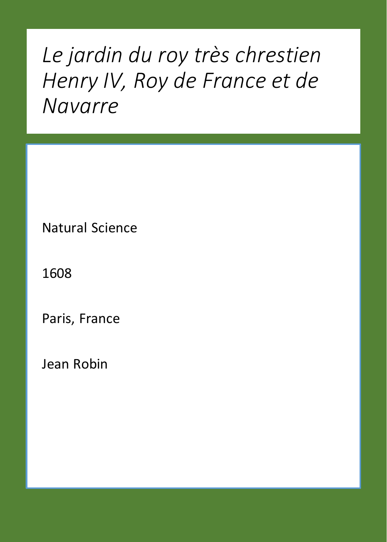### *Le jardin du roy très chrestien Henry IV, Roy de France et de Navarre*

Natural Science

1608

Paris, France

Jean Robin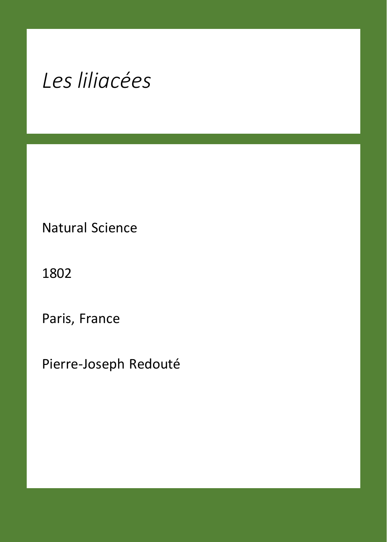### *Les liliacées*

Natural Science

1802

Paris, France

Pierre-Joseph Redouté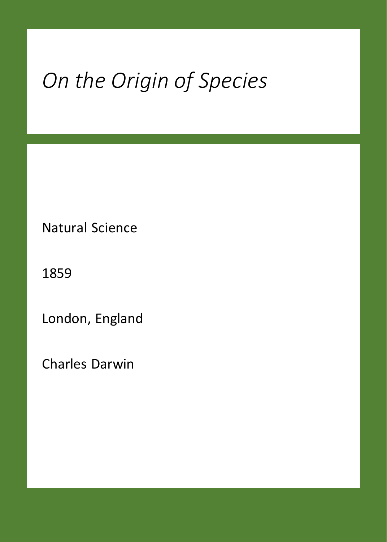# *On the Origin of Species*

Natural Science

1859

London, England

Charles Darwin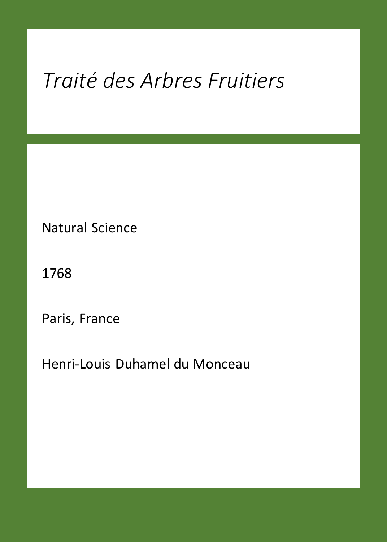## *Traité des Arbres Fruitiers*

Natural Science

1768

Paris, France

Henri-Louis Duhamel du Monceau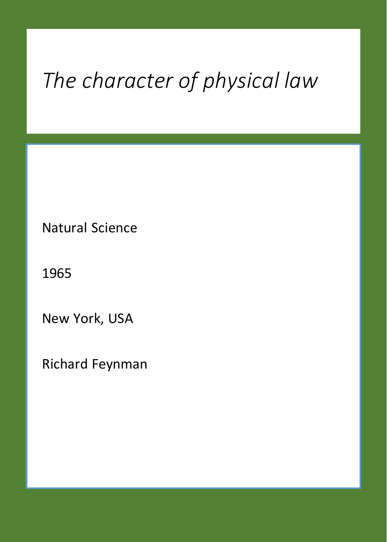# *The character of physical law*

Natural Science

1965

New York, USA

Richard Feynman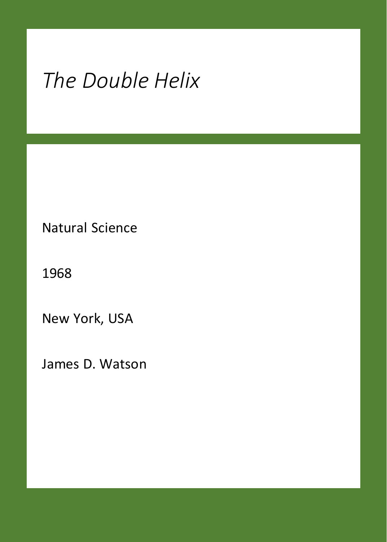## *The Double Helix*

Natural Science

1968

New York, USA

James D. Watson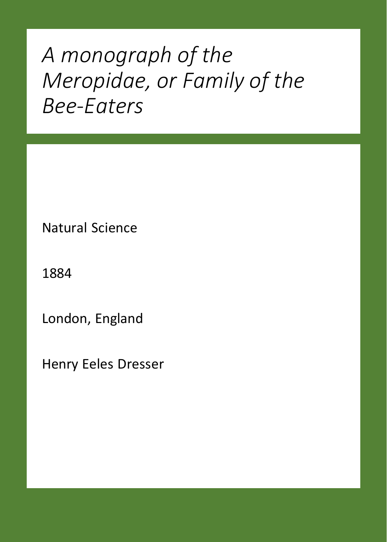### *A monograph of the Meropidae, or Family of the Bee-Eaters*

Natural Science

1884

London, England

Henry Eeles Dresser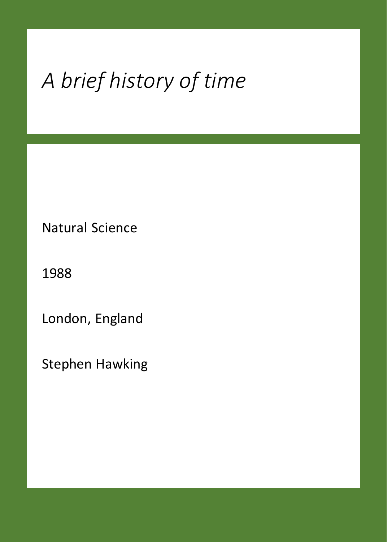# *A brief history of time*

Natural Science

1988

London, England

Stephen Hawking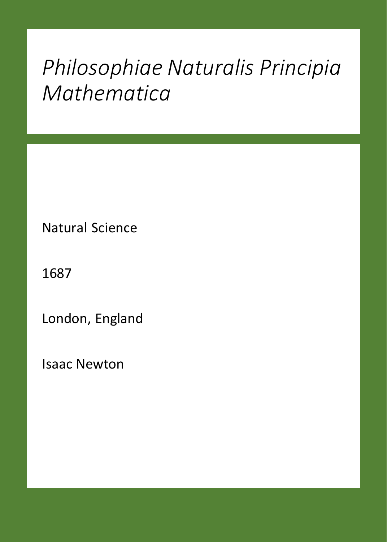#### *Philosophiae Naturalis Principia Mathematica*

Natural Science

1687

London, England

Isaac Newton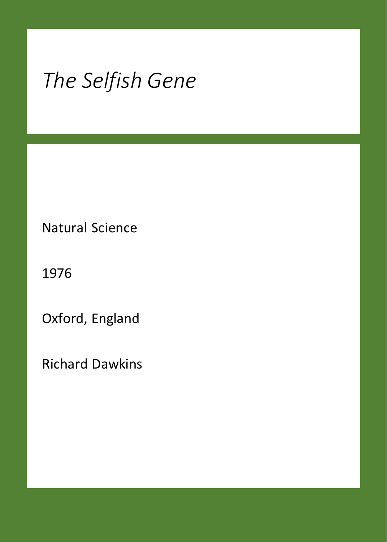## *The Selfish Gene*

Natural Science

1976

Oxford, England

Richard Dawkins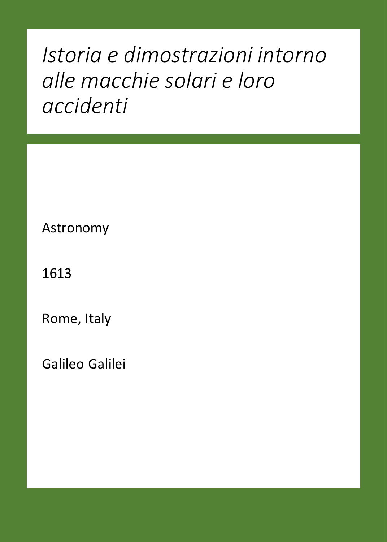### *Istoria e dimostrazioni intorno alle macchie solari e loro accidenti*

Astronomy

1613

Rome, Italy

Galileo Galilei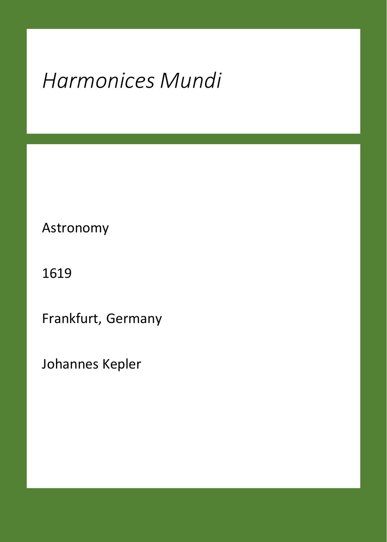## *Harmonices Mundi*

Astronomy

1619

Frankfurt, Germany

Johannes Kepler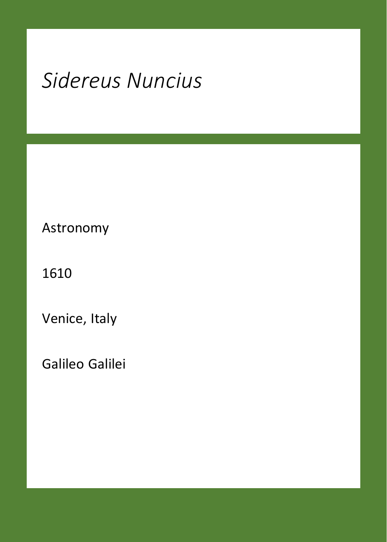## *Sidereus Nuncius*

Astronomy

1610

Venice, Italy

Galileo Galilei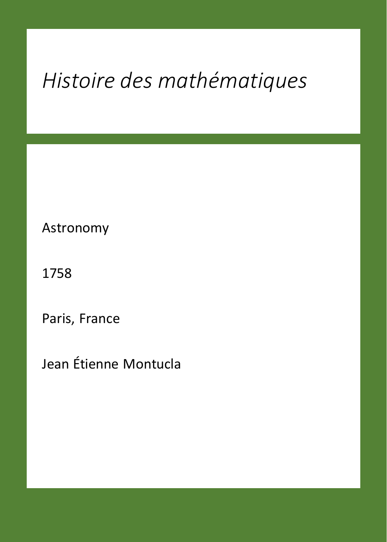## *Histoire des mathématiques*

Astronomy

1758

Paris, France

Jean Étienne Montucla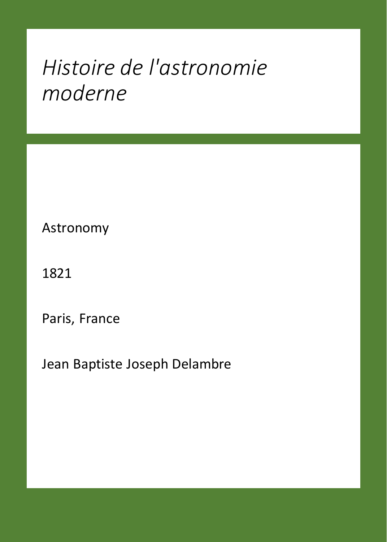#### *Histoire de l'astronomie moderne*

Astronomy

1821

Paris, France

Jean Baptiste Joseph Delambre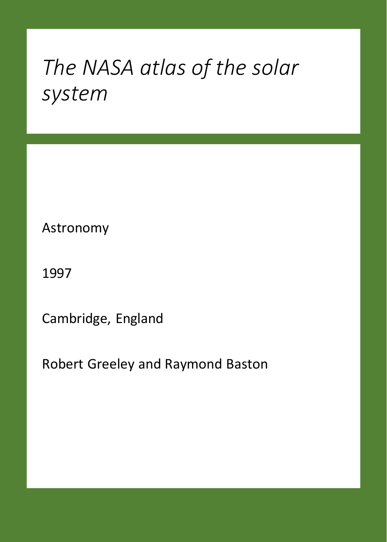#### *The NASA atlas of the solar system*

Astronomy

1997

Cambridge, England

Robert Greeley and Raymond Baston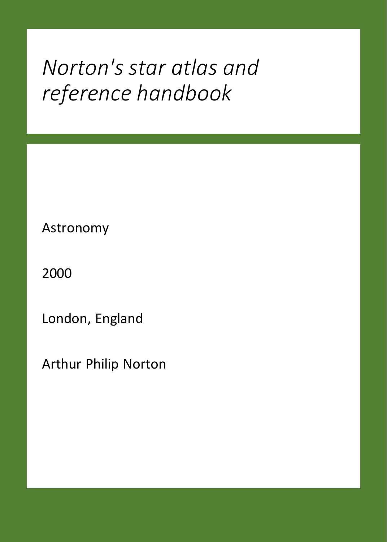#### *Norton's star atlas and reference handbook*

Astronomy

2000

London, England

Arthur Philip Norton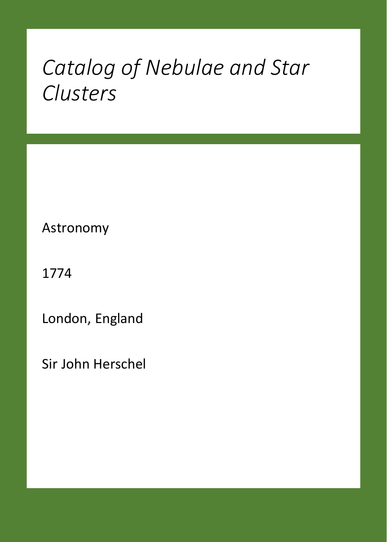#### *Catalog of Nebulae and Star Clusters*

Astronomy

1774

London, England

Sir John Herschel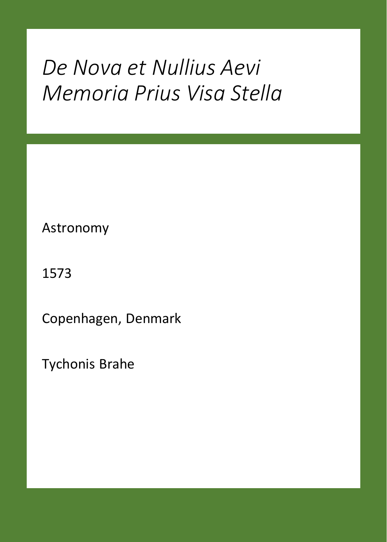### *De Nova et Nullius Aevi Memoria Prius Visa Stella*

Astronomy

1573

Copenhagen, Denmark

Tychonis Brahe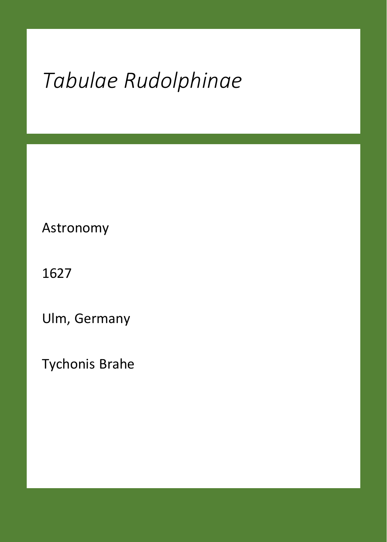## *Tabulae Rudolphinae*

Astronomy

1627

Ulm, Germany

Tychonis Brahe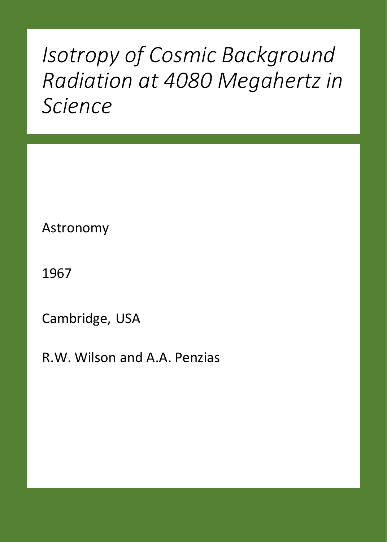### *Isotropy of Cosmic Background Radiation at 4080 Megahertz in Science*

Astronomy

1967

Cambridge, USA

R.W. Wilson and A.A. Penzias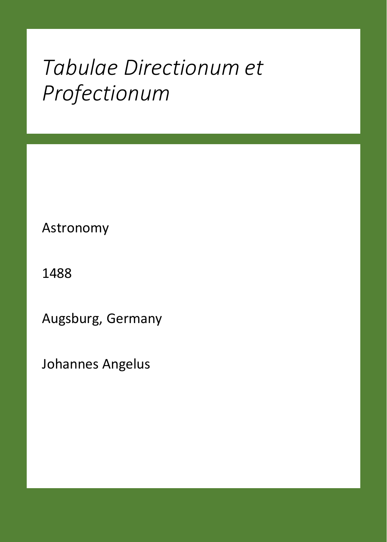#### *Tabulae Directionum et Profectionum*

Astronomy

1488

Augsburg, Germany

Johannes Angelus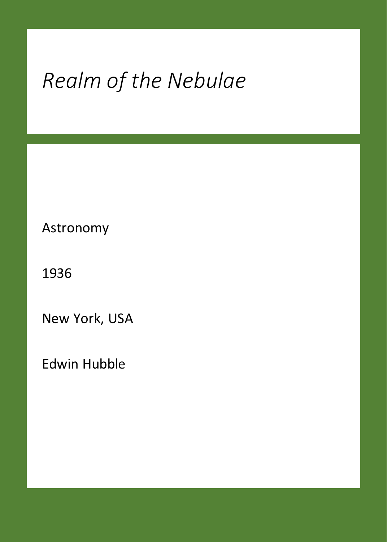## *Realm of the Nebulae*

Astronomy

1936

New York, USA

Edwin Hubble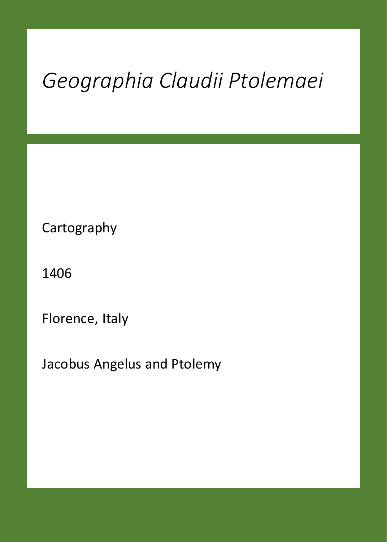## *Geographia Claudii Ptolemaei*

Cartography

1406

Florence, Italy

Jacobus Angelus and Ptolemy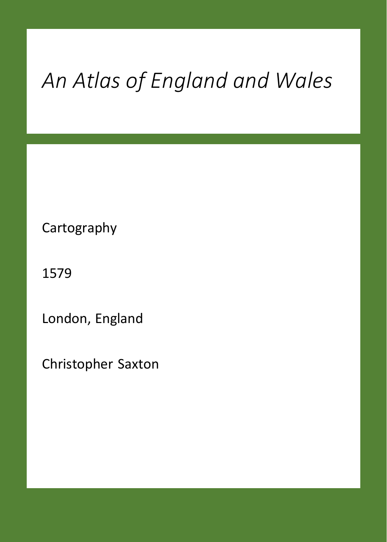## *An Atlas of England and Wales*

Cartography

1579

London, England

Christopher Saxton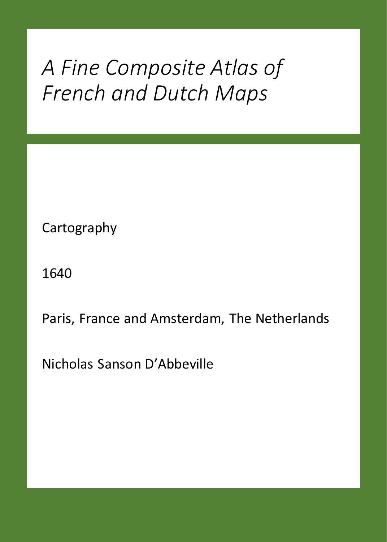#### *A Fine Composite Atlas of French and Dutch Maps*

Cartography

1640

Paris, France and Amsterdam, The Netherlands

Nicholas Sanson D'Abbeville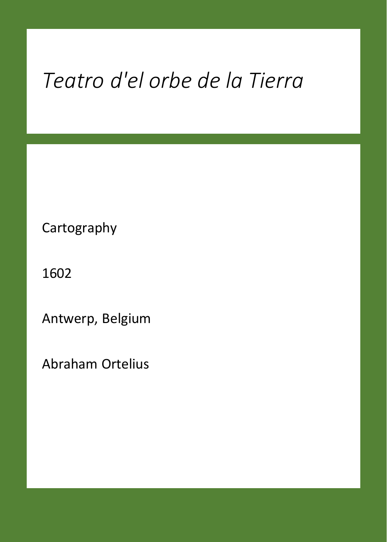## *Teatro d'el orbe de la Tierra*

Cartography

1602

Antwerp, Belgium

Abraham Ortelius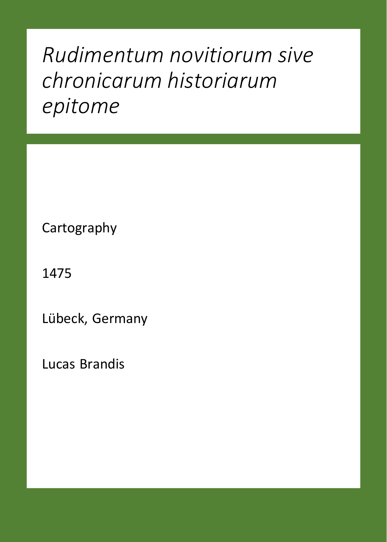## *Rudimentum novitiorum sive chronicarum historiarum epitome*

Cartography

1475

Lübeck, Germany

Lucas Brandis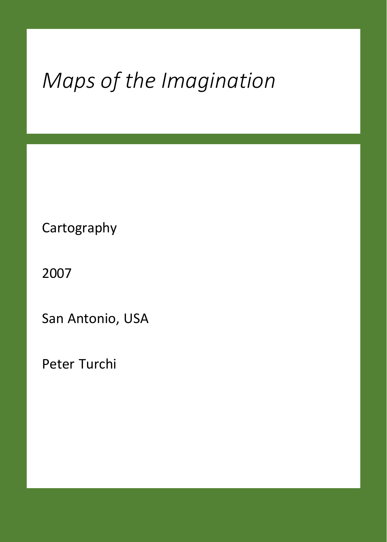## *Maps of the Imagination*

Cartography

2007

San Antonio, USA

Peter Turchi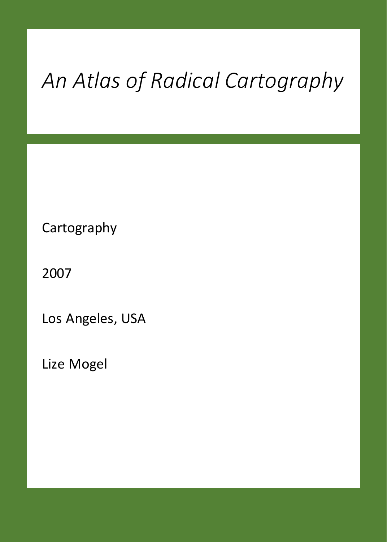# *An Atlas of Radical Cartography*

Cartography

2007

Los Angeles, USA

Lize Mogel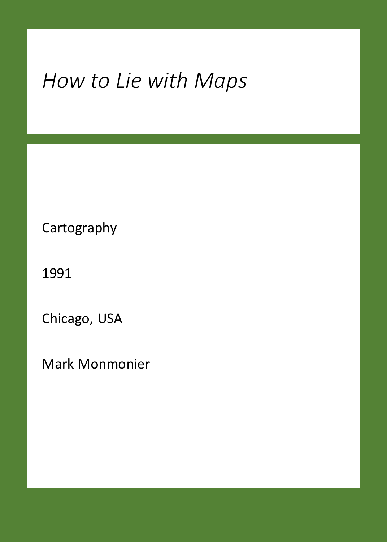## *How to Lie with Maps*

Cartography

1991

Chicago, USA

Mark Monmonier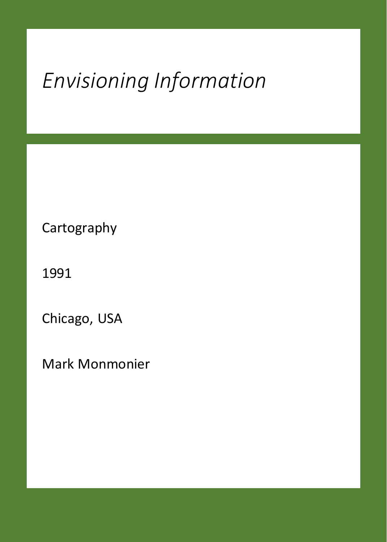## *Envisioning Information*

Cartography

1991

Chicago, USA

Mark Monmonier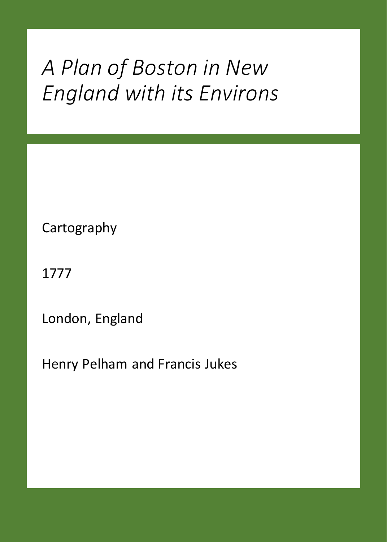### *A Plan of Boston in New England with its Environs*

Cartography

1777

London, England

Henry Pelham and Francis Jukes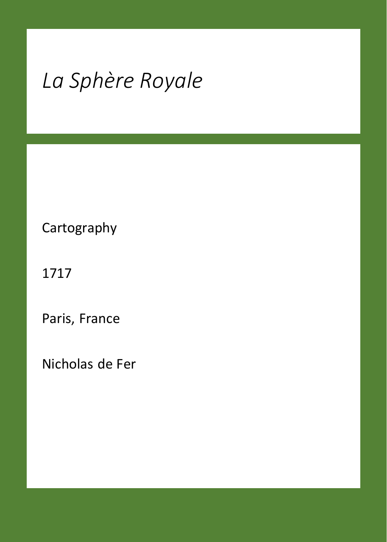## *La Sphère Royale*

Cartography

1717

Paris, France

Nicholas de Fer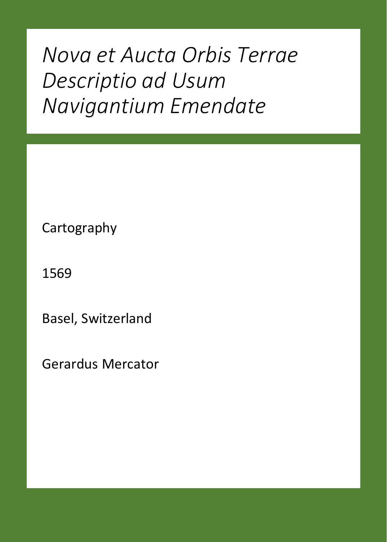*Nova et Aucta Orbis Terrae Descriptio ad Usum Navigantium Emendate*

Cartography

1569

Basel, Switzerland

Gerardus Mercator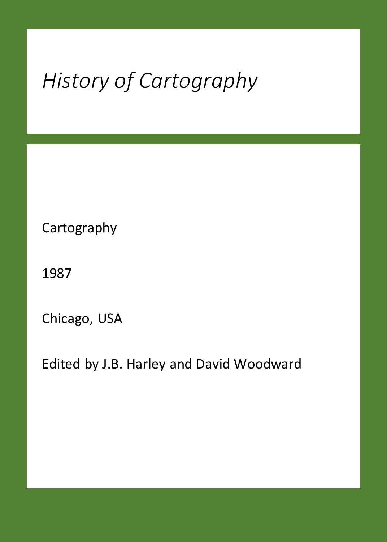# *History of Cartography*

Cartography

1987

Chicago, USA

Edited by J.B. Harley and David Woodward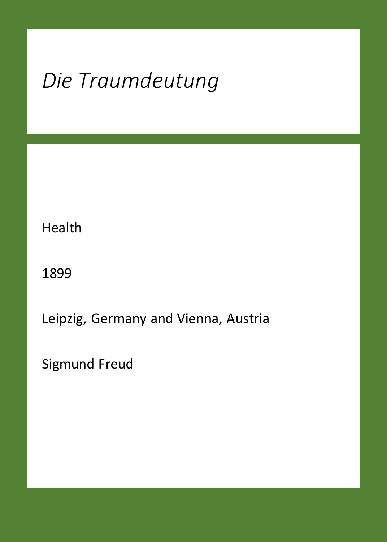## *Die Traumdeutung*

Health

1899

Leipzig, Germany and Vienna, Austria

Sigmund Freud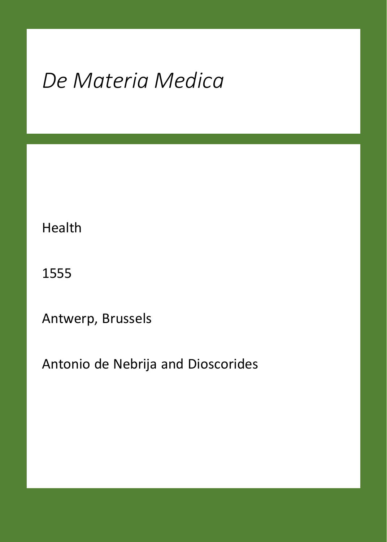## *De Materia Medica*

Health

1555

Antwerp, Brussels

Antonio de Nebrija and Dioscorides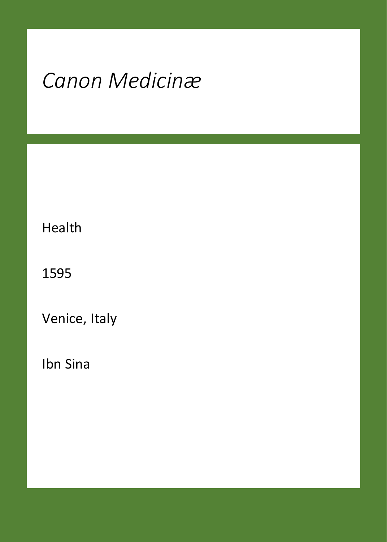## *Canon Medicinæ*

Health

1595

Venice, Italy

Ibn Sina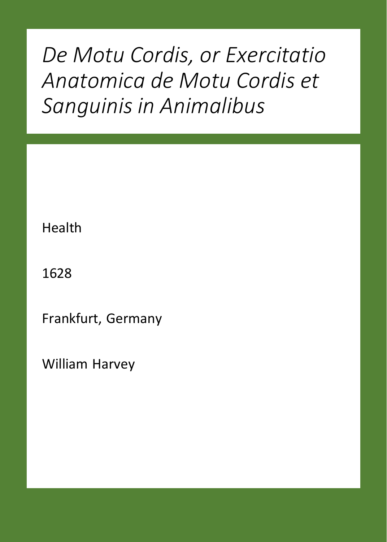*De Motu Cordis, or Exercitatio Anatomica de Motu Cordis et Sanguinis in Animalibus*

Health

1628

Frankfurt, Germany

William Harvey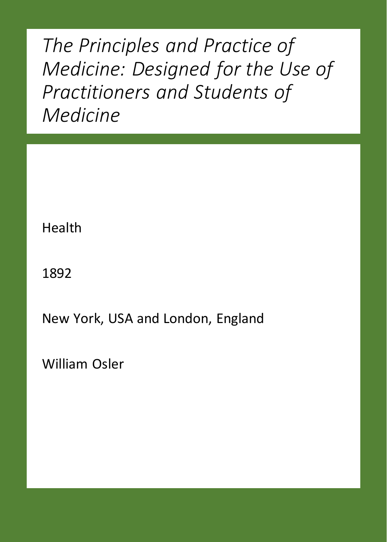*The Principles and Practice of Medicine: Designed for the Use of Practitioners and Students of Medicine*

Health

1892

New York, USA and London, England

William Osler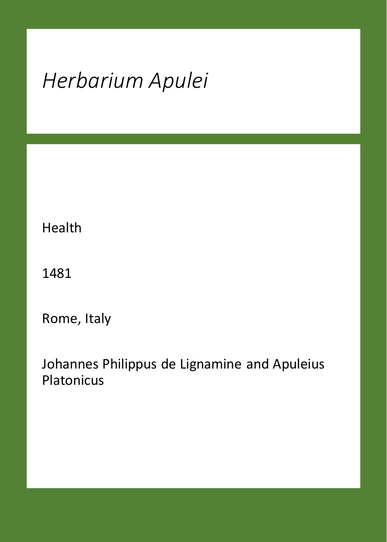## *Herbarium Apulei*

Health

1481

Rome, Italy

Johannes Philippus de Lignamine and Apuleius Platonicus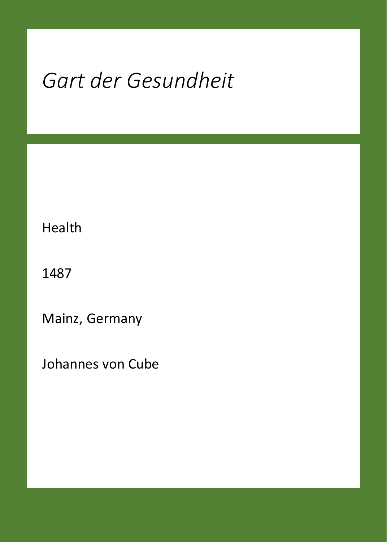## *Gart der Gesundheit*

Health

1487

Mainz, Germany

Johannes von Cube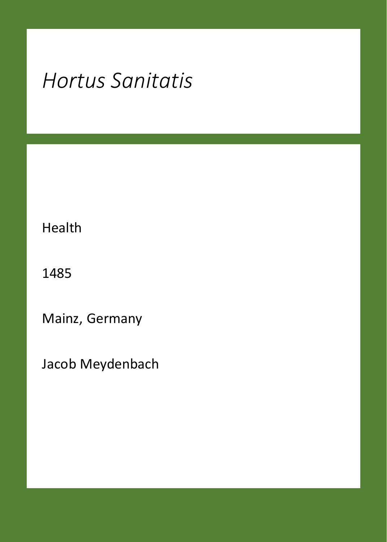## *Hortus Sanitatis*

Health

1485

Mainz, Germany

Jacob Meydenbach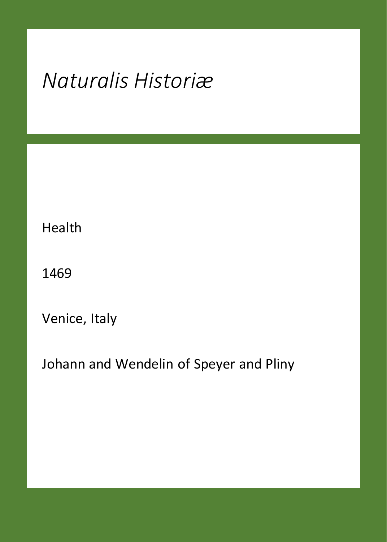## *Naturalis Historiæ*

Health

1469

Venice, Italy

Johann and Wendelin of Speyer and Pliny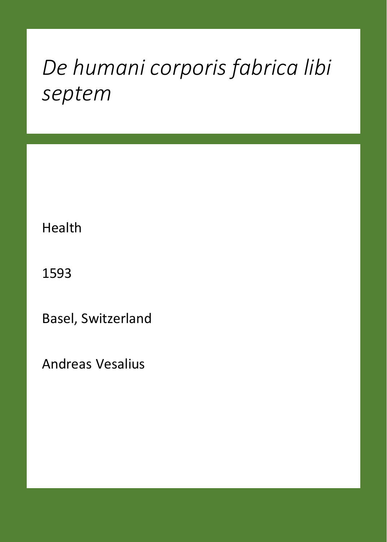## *De humani corporis fabrica libi septem*

Health

1593

Basel, Switzerland

Andreas Vesalius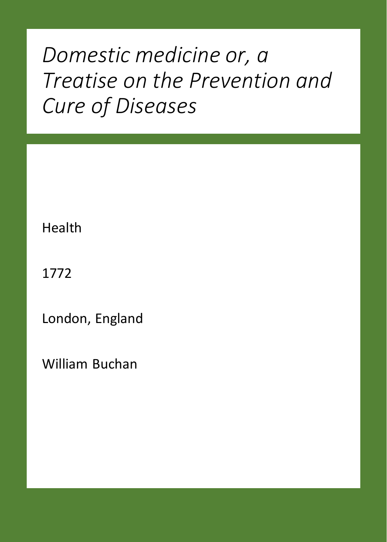## *Domestic medicine or, a Treatise on the Prevention and Cure of Diseases*

Health

1772

London, England

William Buchan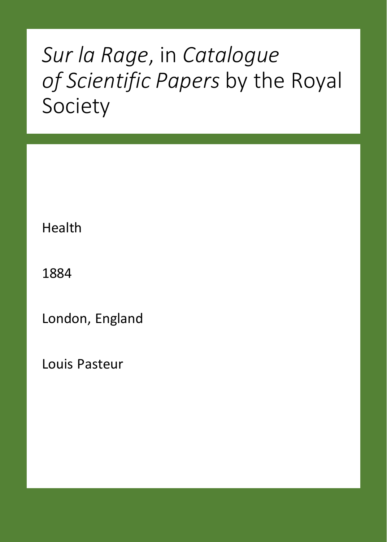## *Sur la Rage*, in *Catalogue of Scientific Papers* by the Royal Society

Health

1884

London, England

Louis Pasteur